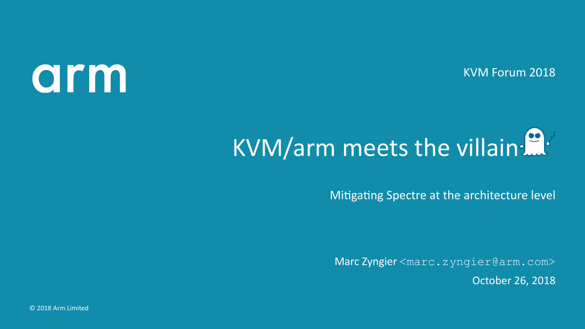KVM Forum 2018

## arm

## KVM/arm meets the villain:

Mitigating Spectre at the architecture level

Marc Zyngier <marc.zyngier@arm.com> October 26, 2018

© 2018 Arm Limited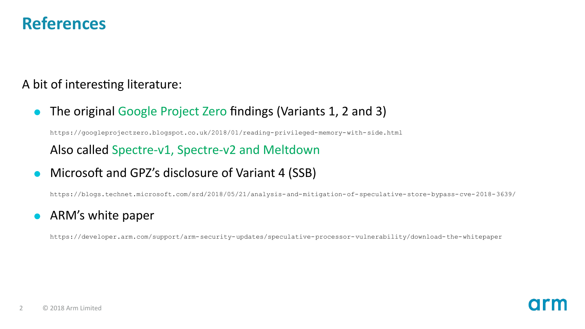#### **References**

A bit of interesting literature:

- The original Google Project Zero findings (Variants 1, 2 and 3) https://googleprojectzero.blogspot.co.uk/2018/01/reading-privileged-memory-with-side.html Also called Spectre-v1, Spectre-v2 and Meltdown
- Microsoft and GPZ's disclosure of Variant 4 (SSB)

https://blogs.technet.microsoft.com/srd/2018/05/21/analysis-and-mitigation-of-speculative-store-bypass-cve-2018-3639/

• ARM's white paper

https://developer.arm.com/support/arm-security-updates/speculative-processor-vulnerability/download-the-whitepaper

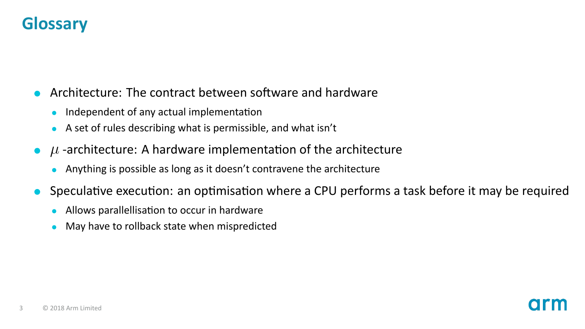#### **Glossary**

#### Architecture: The contract between software and hardware

- Independent of any actual implementation
- A set of rules describing what is permissible, and what isn't
- $\mu$  -architecture: A hardware implementation of the architecture
	- Anything is possible as long as it doesn't contravene the architecture
- Speculative execution: an optimisation where a CPU performs a task before it may be required
	- Allows parallellisation to occur in hardware
	- May have to rollback state when mispredicted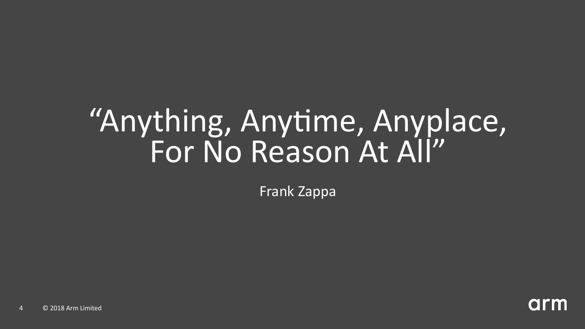## "Anything, Anytime, Anyplace, For No Reason At All"

Frank Zappa

arm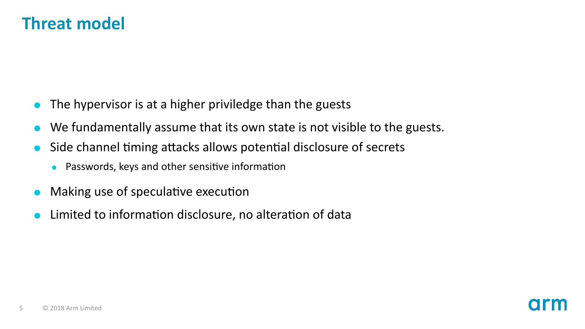#### **Threat model**

- The hypervisor is at a higher priviledge than the guests
- We fundamentally assume that its own state is not visible to the guests.
- Side channel timing attacks allows potential disclosure of secrets
	- Passwords, keys and other sensitive information
- Making use of speculative execution
- Limited to information disclosure, no alteration of data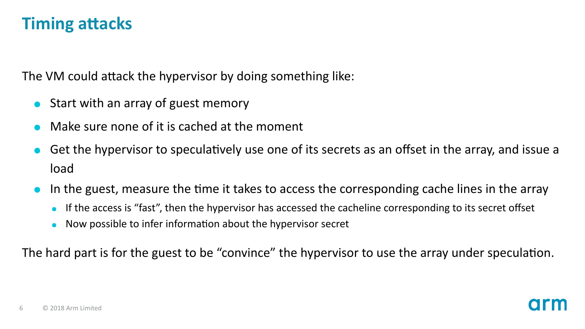#### **Timing attacks**

The VM could attack the hypervisor by doing something like:

- Start with an array of guest memory
- Make sure none of it is cached at the moment
- Get the hypervisor to speculatively use one of its secrets as an offset in the array, and issue a load
- In the guest, measure the time it takes to access the corresponding cache lines in the array
	- If the access is "fast", then the hypervisor has accessed the cacheline corresponding to its secret offset
	- Now possible to infer information about the hypervisor secret

The hard part is for the guest to be "convince" the hypervisor to use the array under speculation.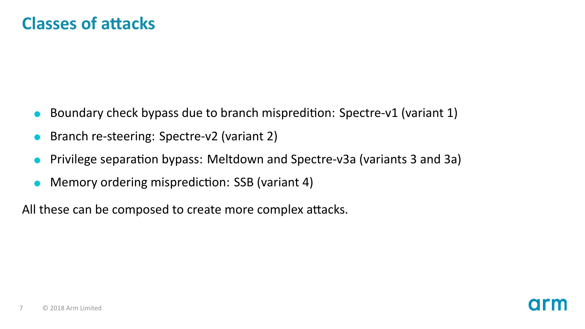- Boundary check bypass due to branch mispredition: Spectre-v1 (variant 1)
- Branch re-steering: Spectre-v2 (variant 2)
- Privilege separation bypass: Meltdown and Spectre-v3a (variants 3 and 3a)
- Memory ordering misprediction: SSB (variant 4)

All these can be composed to create more complex attacks.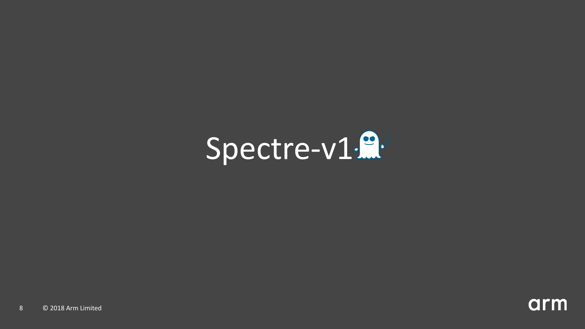

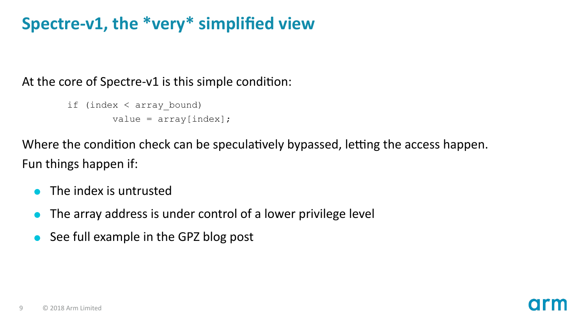#### **Spectre-v1, the \*very\* simplified view**

At the core of Spectre-v1 is this simple condition:

```
if (index < array_bound)
        value = array[index];
```
Where the condition check can be speculatively bypassed, letting the access happen. Fun things happen if:

- The index is untrusted
- The array address is under control of a lower privilege level
- See full example in the GPZ blog post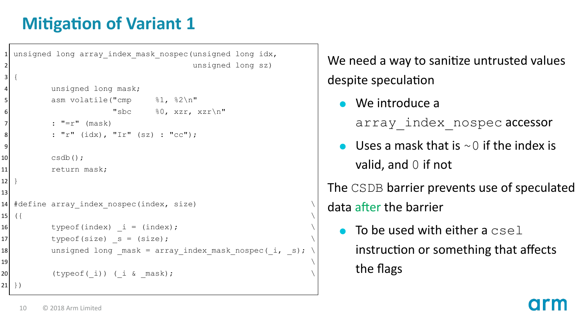#### **Mitigation of Variant 1**

```
unsigned long array index mask nospec(unsigned long idx,
                                                       unsigned long sz)
 3 {
              unsigned long mask:
              asm volatile("cmp %1, %2\n"
\overline{\phantom{a}} \overline{\phantom{a}} \overline{\phantom{a}} \overline{\phantom{a}} \overline{\phantom{a}} \overline{\phantom{a}} \overline{\phantom{a}} \overline{\phantom{a}} \overline{\phantom{a}} \overline{\phantom{a}} \overline{\phantom{a}} \overline{\phantom{a}} \overline{\phantom{a}} \overline{\phantom{a}} \overline{\phantom{a}} \overline{\phantom{a}} \overline{\phantom{a}} \overline{\phantom{a}} \overline{\: "=r" (mask)
|8| : "r" (idx), "Ir" (sz) : "cc");
9
10 csdb();
11 return mask;
12 }
13
14 #define array index nospec(index, size)
15 (\{16 typeof(index) i = (index);
17 typeof(size) _s = (size);
18 unsigned long _mask = array_index_mask_nospec(_i, _s);
\blacksquare 19 \blacksquare20 (typeof(i)) (i & mask);
21 } }
```
We need a way to sanitize untrusted values despite speculation

We introduce a

array index nospec accessor

Uses a mask that is  $\sim$  0 if the index is valid, and 0 if not

The CSDB barrier prevents use of speculated data after the barrier

 $\bullet$  To be used with either a csel instruction or something that affects the flags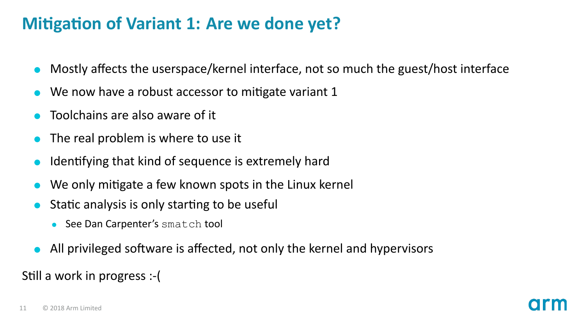#### **Mitigation of Variant 1: Are we done yet?**

- Mostly affects the userspace/kernel interface, not so much the guest/host interface
- We now have a robust accessor to mitigate variant 1
- Toolchains are also aware of it
- The real problem is where to use it
- Identifying that kind of sequence is extremely hard
- We only mitigate a few known spots in the Linux kernel
- Static analysis is only starting to be useful
	- See Dan Carpenter's smatch tool
- All privileged software is affected, not only the kernel and hypervisors

Still a work in progress :- (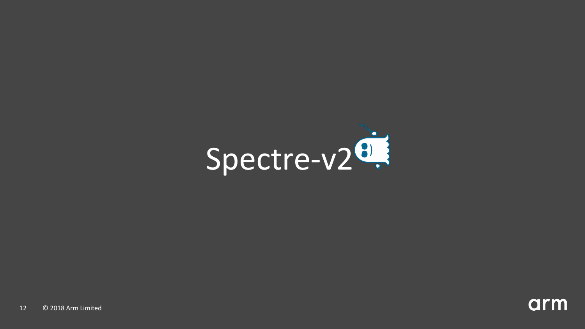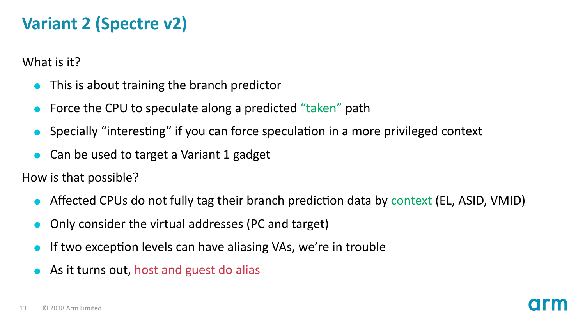#### **Variant 2 (Spectre v2)**

What is it?

- This is about training the branch predictor
- Force the CPU to speculate along a predicted "taken" path
- Specially "interesting" if you can force speculation in a more privileged context
- Can be used to target a Variant 1 gadget

How is that possible?

- Affected CPUs do not fully tag their branch prediction data by context (EL, ASID, VMID)
- Only consider the virtual addresses (PC and target)
- If two exception levels can have aliasing VAs, we're in trouble
- As it turns out, host and guest do alias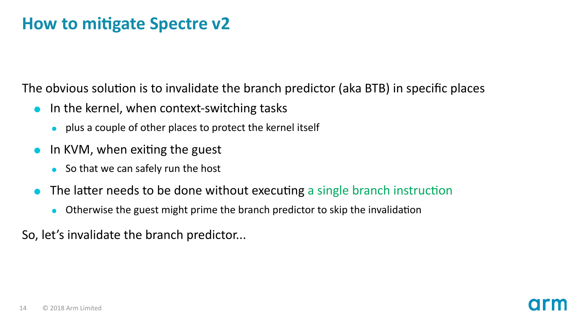#### **How to mitigate Spectre v2**

The obvious solution is to invalidate the branch predictor (aka BTB) in specific places

- $\bullet$  In the kernel, when context-switching tasks
	- plus a couple of other places to protect the kernel itself
- In KVM, when exiting the guest  $\bullet$ 
	- $\bullet$  So that we can safely run the host
- The latter needs to be done without executing a single branch instruction
	- Otherwise the guest might prime the branch predictor to skip the invalidation  $\bullet$

So, let's invalidate the branch predictor...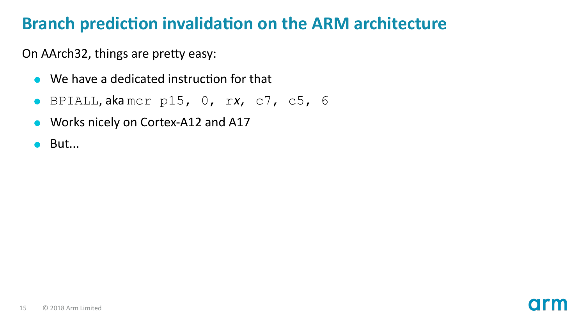On AArch32, things are pretty easy:

- $\bullet$  We have a dedicated instruction for that
- BPIALL, aka mcr p15, 0, rx, c7, c5, 6  $\bullet$
- Works nicely on Cortex-A12 and A17  $\bullet$
- $\bullet$  But...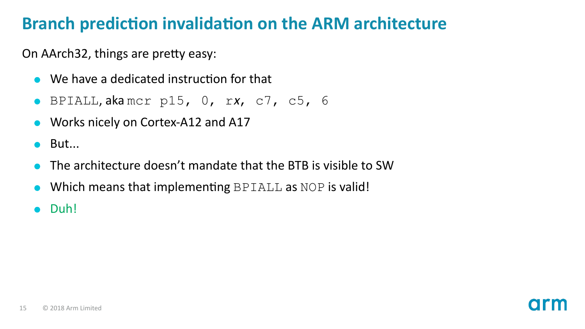On AArch32, things are pretty easy:

- $\bullet$  We have a dedicated instruction for that
- BPIALL, aka mcr p15, 0, rx, c7, c5, 6
- Works nicely on Cortex-A12 and A17
- $\bullet$  But...
- The architecture doesn't mandate that the BTB is visible to SW
- Which means that implementing BPIALL as NOP is valid!
- Duh!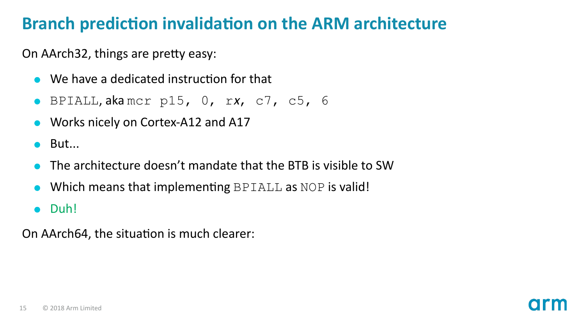On AArch32, things are pretty easy:

- $\bullet$  We have a dedicated instruction for that
- BPIALL, aka mcr p15, 0, rx, c7, c5, 6
- Works nicely on Cortex-A12 and A17
- $\bullet$  But...
- The architecture doesn't mandate that the BTB is visible to SW
- Which means that implementing BPIALL as NOP is valid!
- Duh!

On AArch64, the situation is much clearer: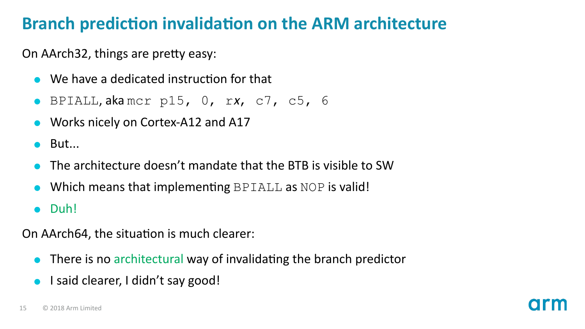On AArch32, things are pretty easy:

- $\bullet$  We have a dedicated instruction for that
- BPIALL, aka mcr p15, 0, rx, c7, c5, 6
- Works nicely on Cortex-A12 and A17
- $\bullet$  But...
- The architecture doesn't mandate that the BTB is visible to SW
- Which means that implementing BPIALL as NOP is valid!
- Duh!

On AArch64, the situation is much clearer:

- $\bullet$  There is no architectural way of invalidating the branch predictor
- I said clearer, I didn't say good!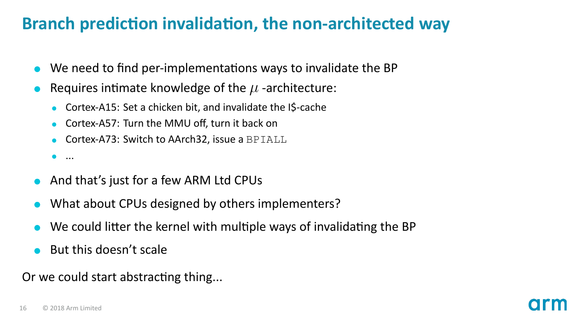#### **Branch prediction invalidation, the non-architected wav**

- We need to find per-implementations ways to invalidate the BP
- Requires intimate knowledge of the  $\mu$  -architecture:
	- Cortex-A15: Set a chicken bit, and invalidate the I\$-cache
	- Cortex-A57: Turn the MMU off, turn it back on
	- Cortex-A73: Switch to AArch32, issue a BPIALL
	- ...
- And that's just for a few ARM Ltd CPUs
- What about CPUs designed by others implementers?
- We could litter the kernel with multiple ways of invalidating the BP
- But this doesn't scale

Or we could start abstracting thing...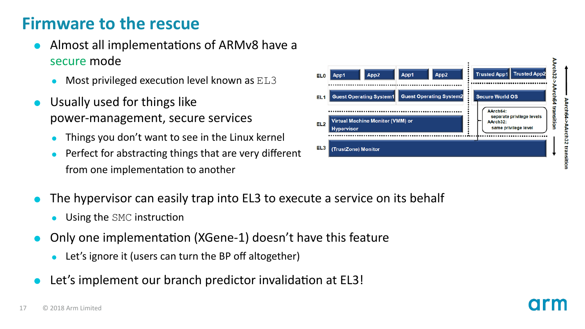#### **Firmware to the rescue**

- Almost all implementations of ARMv8 have a secure mode
	- $\bullet$  Most privileged execution level known as  $EL3$
- Usually used for things like power-management, secure services
	- Things you don't want to see in the Linux kernel
	- Perfect for abstracting things that are very different from one implementation to another
- The hypervisor can easily trap into EL3 to execute a service on its behalf
	- Using the SMC instruction
- Only one implementaƟon (XGene-1) doesn't have this feature
	- Let's ignore it (users can turn the BP off altogether)
- Let's implement our branch predictor invalidation at EL3!

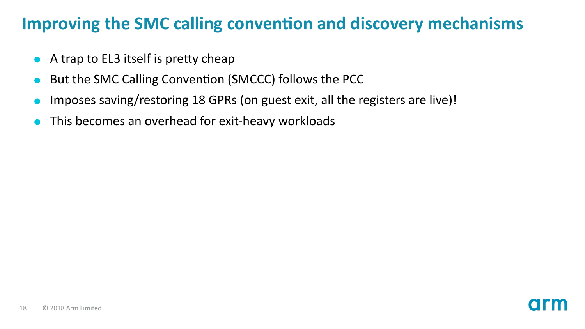#### **Improving the SMC calling convention and discovery mechanisms**

- $\bullet$  A trap to EL3 itself is pretty cheap
- But the SMC Calling Convention (SMCCC) follows the PCC
- Imposes saving/restoring 18 GPRs (on guest exit, all the registers are live)!
- This becomes an overhead for exit-heavy workloads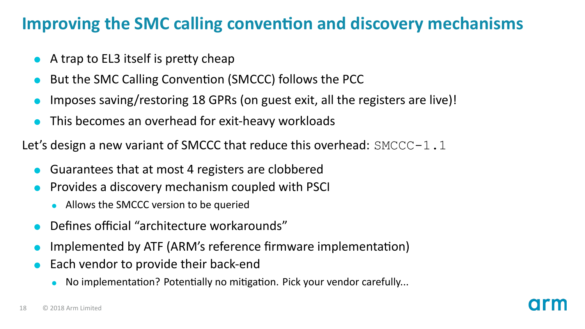#### **Improving the SMC calling convention and discovery mechanisms**

- $\bullet$  A trap to EL3 itself is pretty cheap
- But the SMC Calling Convention (SMCCC) follows the PCC
- Imposes saving/restoring 18 GPRs (on guest exit, all the registers are live)!
- This becomes an overhead for exit-heavy workloads

Let's design a new variant of SMCCC that reduce this overhead:  $SMCCC-1.1$ 

- Guarantees that at most 4 registers are clobbered
- Provides a discovery mechanism coupled with PSCI
	- Allows the SMCCC version to be queried
- Defines official "architecture workarounds"
- Implemented by ATF (ARM's reference firmware implementation)
- Each vendor to provide their back-end
	- No implementation? Potentially no mitigation. Pick your vendor carefully...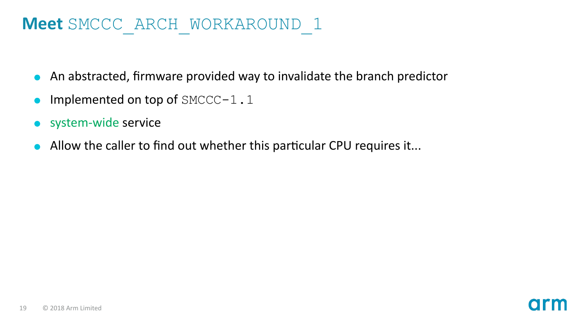#### **Meet** SMCCC\_ARCH\_WORKAROUND\_1

- An abstracted, firmware provided way to invalidate the branch predictor
- Implemented on top of SMCCC-1.1
- system-wide service
- Allow the caller to find out whether this particular CPU requires it...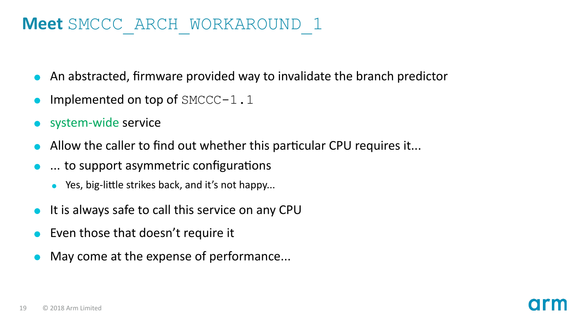#### **Meet** SMCCC\_ARCH\_WORKAROUND\_1

- An abstracted, firmware provided way to invalidate the branch predictor
- Implemented on top of SMCCC-1.1
- system-wide service
- Allow the caller to find out whether this particular CPU requires it...
- ... to support asymmetric configurations
	- Yes, big-little strikes back, and it's not happy...
- It is always safe to call this service on any CPU
- Even those that doesn't require it
- May come at the expense of performance...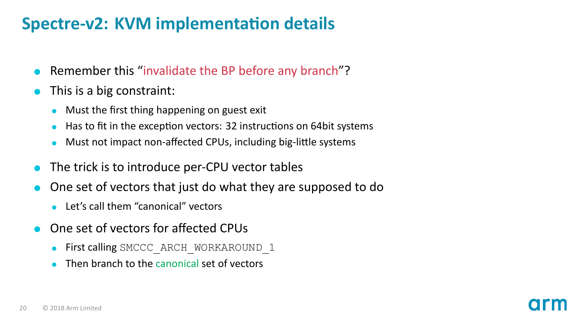#### **Spectre-v2: KVM implementation details**

- Remember this "invalidate the BP before any branch"?
- This is a big constraint:
	- Must the first thing happening on guest exit
	- Has to fit in the exception vectors: 32 instructions on 64bit systems
	- Must not impact non-affected CPUs, including big-little systems
- The trick is to introduce per-CPU vector tables
- One set of vectors that just do what they are supposed to do
	- **Let's call them "canonical" vectors**
- One set of vectors for affected CPUs
	- First calling SMCCC\_ARCH\_WORKAROUND\_1
	- Then branch to the canonical set of vectors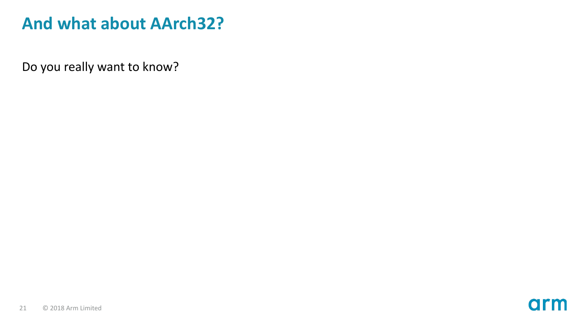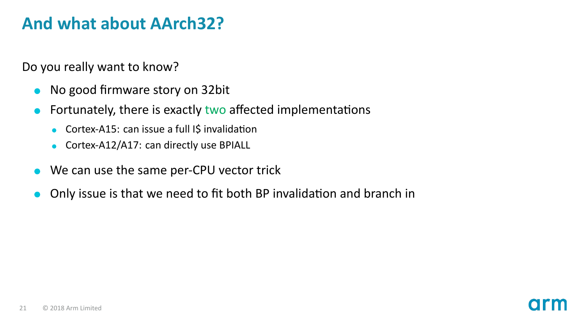- No good firmware story on 32bit
- Fortunately, there is exactly two affected implementations
	- Cortex-A15: can issue a full I\$ invalidation
	- Cortex-A12/A17: can directly use BPIALL
- We can use the same per-CPU vector trick
- Only issue is that we need to fit both BP invalidation and branch in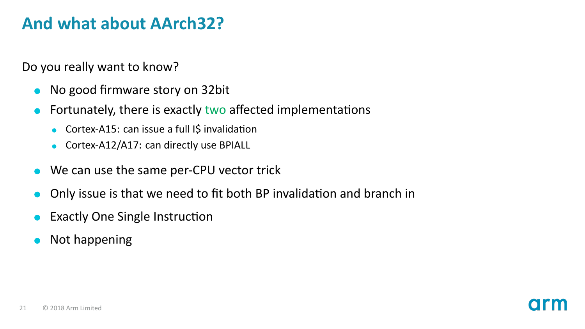- No good firmware story on 32bit
- Fortunately, there is exactly two affected implementations
	- Cortex-A15: can issue a full I\$ invalidation
	- Cortex-A12/A17: can directly use BPIALL
- We can use the same per-CPU vector trick
- Only issue is that we need to fit both BP invalidation and branch in
- Exactly One Single Instruction
- Not happening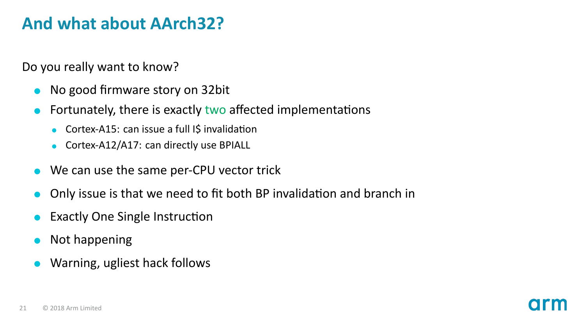- No good firmware story on 32bit
- Fortunately, there is exactly two affected implementations
	- Cortex-A15: can issue a full I\$ invalidation
	- Cortex-A12/A17: can directly use BPIALL
- We can use the same per-CPU vector trick
- Only issue is that we need to fit both BP invalidation and branch in
- Exactly One Single Instruction
- Not happening
- Warning, ugliest hack follows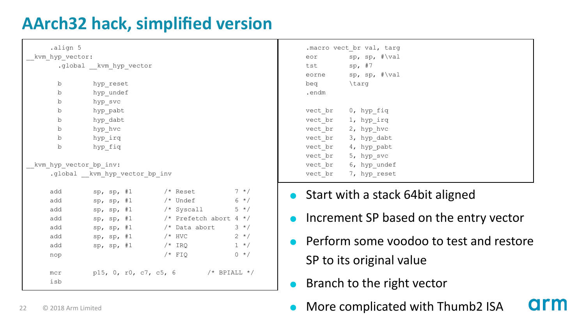#### **AArch32 hack, simplified version**

| .align 5               |                               |                                       |         |            | .macro vect br val, targ     |
|------------------------|-------------------------------|---------------------------------------|---------|------------|------------------------------|
| kvm hyp vector:        |                               |                                       |         |            | eor sp, sp, #\val            |
|                        | .global kvm hyp vector        |                                       |         | tst sp, #7 |                              |
|                        |                               |                                       |         |            | eorne sp, sp, #\val          |
| b                      | hyp reset                     |                                       |         | beg        | \targ                        |
| b                      | hyp undef                     |                                       |         | .endm      |                              |
| b                      | hyp svc                       |                                       |         |            |                              |
| b                      | hyp pabt                      |                                       |         | vect br    | 0, hyp fiq                   |
| b                      | hyp dabt                      |                                       |         |            | vect br 1, hyp irq           |
| b                      | hyp hvc                       |                                       |         |            | vect br 2, hyp hvc           |
| b                      | hyp irq                       |                                       |         |            | vect br 3, hyp dabt          |
| b                      | hyp fiq                       |                                       |         |            | vect br 4, hyp pabt          |
|                        |                               |                                       |         |            | vect br 5, hyp svc           |
| kvm hyp vector bp inv: |                               |                                       |         |            | vect br 6, hyp undef         |
|                        | .global kvm hyp vector bp inv |                                       |         |            | vect br 7, hyp reset         |
|                        |                               |                                       |         |            |                              |
| add                    |                               | sp, sp, #1 $/*$ Reset 7 */            |         |            | $\bullet$ Start with a stack |
| add                    | sp, sp, #1                    | $/*$ Undef 6 $*/$                     |         |            |                              |
| add                    |                               | sp, sp, #1 /* Syscall                 | $5 * /$ |            |                              |
| add                    |                               | sp, sp, #1 $/*$ Prefetch abort 4 $*/$ |         |            | • Increment SP bas           |
| add                    |                               | sp, sp, #1 $/*$ Data abort 3 $*/$     |         |            |                              |
| add                    | sp, sp, #1                    | $2 * 7$<br>$/*$ HVC                   |         |            | • Perform some vo            |
| add                    | sp, sp, #1                    | $/*$ IRQ                              | $1 *$ / |            |                              |
| nop                    |                               | $/* FIO$                              | $0 * /$ |            |                              |
|                        |                               |                                       |         |            | SP to its original           |
| mcr                    |                               | p15, 0, r0, c7, c5, 6 /* BPIALL */    |         |            |                              |
| isb                    |                               |                                       |         |            | Branch to the rigl           |
|                        |                               |                                       |         |            |                              |

#### or sp, sp, #\val st sp, #7 orne sp, sp, #\val eq \targ .endm ect br 0, hyp fiq ect br 1, hyp irq ect\_br 2, hyp\_hvc ect\_br 3, hyp\_dabt ect\_br 4, hyp\_pabt<br>ect\_br 5, hyp\_svc 5, hyp<sup>-</sup>svc vect br 6, hyp undef vect\_br 7, hyp\_reset

- Start with a stack 64bit aligned
- ncrement SP based on the entry vector
- Perform some voodoo to test and restore SP to its original value

**arn** 

- Branch to the right vector
- 22 © 2018 Arm Limited **More complicated with Thumb2 ISA**

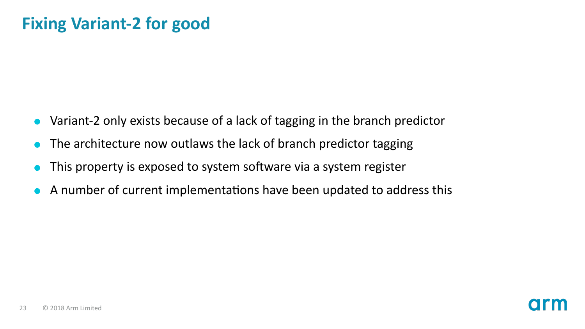#### **Fixing Variant-2 for good**

- Variant-2 only exists because of a lack of tagging in the branch predictor
- The architecture now outlaws the lack of branch predictor tagging
- This property is exposed to system software via a system register
- A number of current implementations have been updated to address this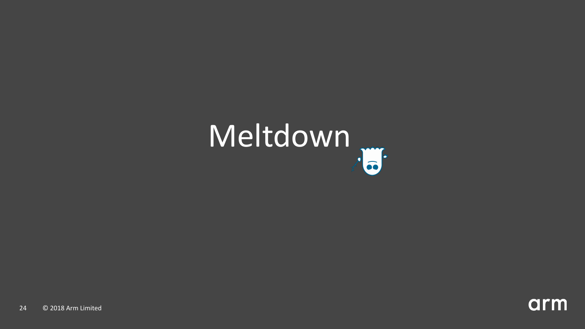# Meltdown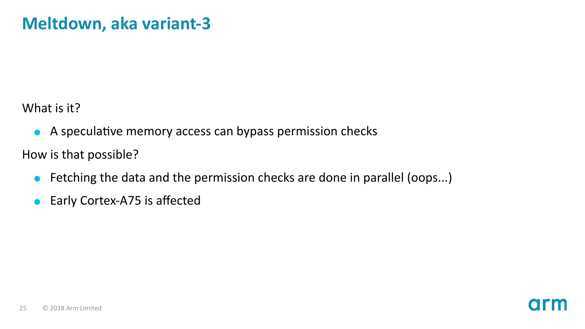What is it?

A speculative memory access can bypass permission checks

How is that possible?

Fetching the data and the permission checks are done in parallel (oops...)  $\bullet$ 

O

Early Cortex-A75 is affected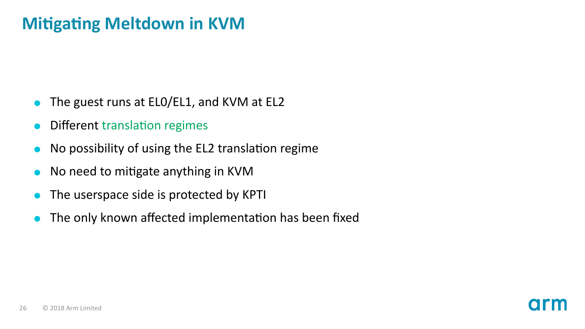#### **Mitigating Meltdown in KVM**

- The guest runs at EL0/EL1, and KVM at EL2
- Different translation regimes
- No possibility of using the EL2 translation regime
- No need to mitigate anything in KVM
- The userspace side is protected by KPTI
- The only known affected implementation has been fixed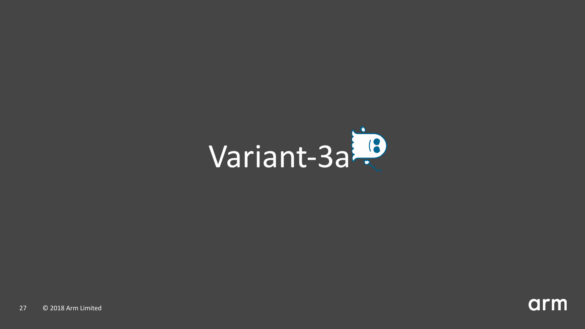

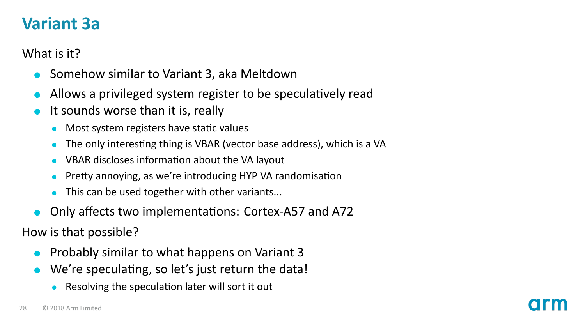#### **Variant 3a**

What is it?

- Somehow similar to Variant 3, aka Meltdown
- Allows a privileged system register to be speculatively read
- It sounds worse than it is, really
	- Most system registers have static values
	- The only interesting thing is VBAR (vector base address), which is a VA  $\bullet$
	- $\bullet$ VBAR discloses information about the VA layout
	- Pretty annoying, as we're introducing HYP VA randomisation
	- This can be used together with other variants...
- Only affects two implementations: Cortex-A57 and A72

How is that possible?

- Probably similar to what happens on Variant 3
- We're speculating, so let's just return the data!
	- Resolving the speculation later will sort it out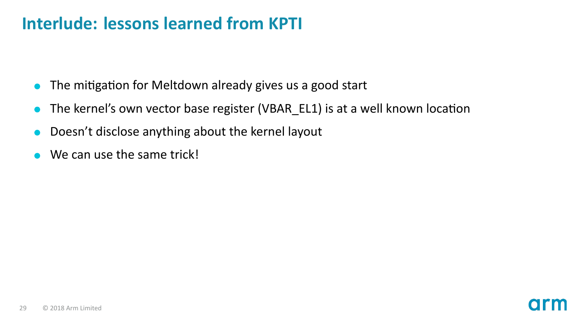#### **Interlude: lessons learned from KPTI**

- $\bullet$  The mitigation for Meltdown already gives us a good start
- The kernel's own vector base register (VBAR\_EL1) is at a well known location
- Doesn't disclose anything about the kernel layout
- We can use the same trick!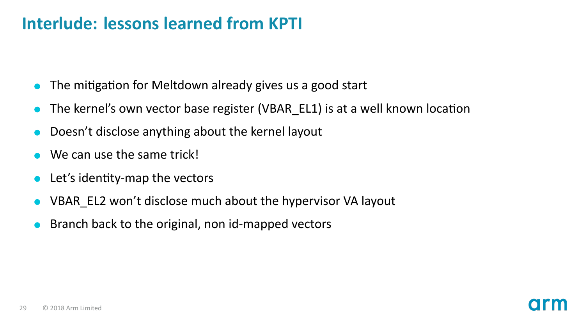#### **Interlude: lessons learned from KPTI**

- The mitigation for Meltdown already gives us a good start
- The kernel's own vector base register (VBAR EL1) is at a well known location
- Doesn't disclose anything about the kernel layout
- We can use the same trick!
- Let's identity-map the vectors
- VBAR\_EL2 won't disclose much about the hypervisor VA layout
- Branch back to the original, non id-mapped vectors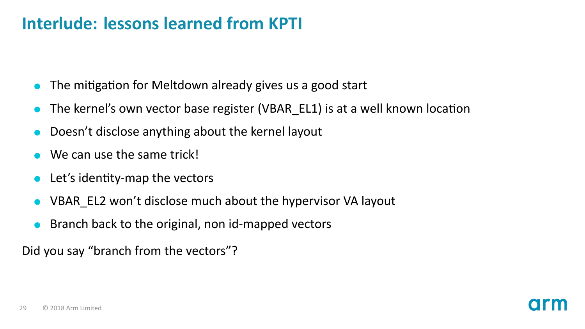#### **Interlude: lessons learned from KPTI**

- The mitigation for Meltdown already gives us a good start
- The kernel's own vector base register (VBAR\_EL1) is at a well known location
- Doesn't disclose anything about the kernel layout
- We can use the same trick!
- Let's identity-map the vectors
- VBAR\_EL2 won't disclose much about the hypervisor VA layout
- Branch back to the original, non id-mapped vectors

Did you say "branch from the vectors"?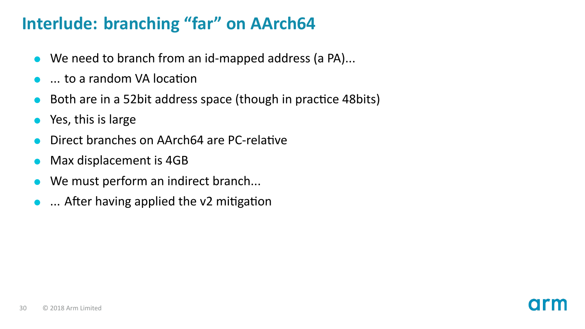#### **Interlude: branching "far" on AArch64**

- We need to branch from an id-mapped address (a PA)...
- ... to a random VA location
- Both are in a 52bit address space (though in practice 48bits)
- Yes, this is large
- Direct branches on AArch64 are PC-relative
- Max displacement is 4GB
- We must perform an indirect branch...
- $\bullet$  ... After having applied the v2 mitigation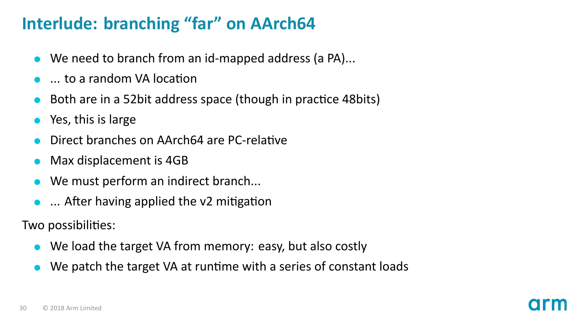#### **Interlude: branching "far" on AArch64**

- We need to branch from an id-mapped address (a PA)...
- $\Box$  to a random VA location
- Both are in a 52bit address space (though in practice 48bits)
- Yes, this is large
- Direct branches on AArch64 are PC-relative
- Max displacement is 4GB
- We must perform an indirect branch...
- $\bullet$  ... After having applied the v2 mitigation

Two possibilities:

- We load the target VA from memory: easy, but also costly
- We patch the target VA at runtime with a series of constant loads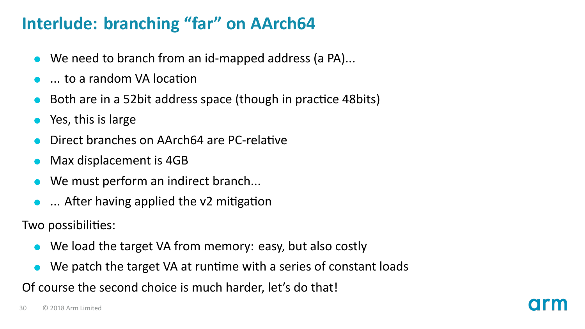#### **Interlude: branching "far" on AArch64**

- We need to branch from an id-mapped address (a PA)...
- ... to a random VA locaƟon
- Both are in a 52bit address space (though in practice 48bits)
- Yes, this is large
- Direct branches on AArch64 are PC-relative
- Max displacement is 4GB
- We must perform an indirect branch...
- $\bullet$  ... After having applied the v2 mitigation

Two possibilities:

- We load the target VA from memory: easy, but also costly
- We patch the target VA at runtime with a series of constant loads

Of course the second choice is much harder, let's do that!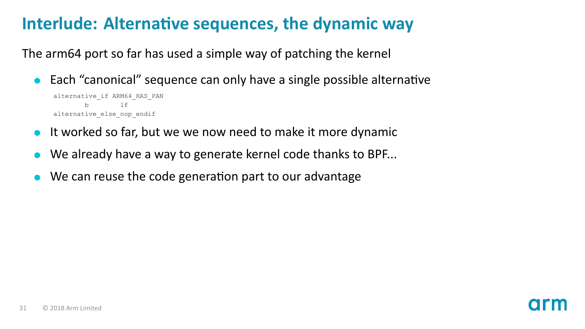#### **Interlude: Alternative sequences, the dynamic way**

The arm64 port so far has used a simple way of patching the kernel

Each "canonical" sequence can only have a single possible alternative

```
alternative_if ARM64_HAS_PAN
                    1 \text{ f}alternative_else_nop_endif
```
- It worked so far, but we we now need to make it more dynamic
- We already have a way to generate kernel code thanks to BPF...
- We can reuse the code generation part to our advantage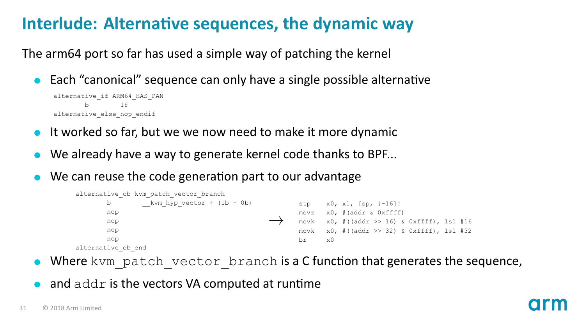#### **Interlude: Alternative sequences, the dynamic way**

The arm64 port so far has used a simple way of patching the kernel

Each "canonical" sequence can only have a single possible alternative

```
alternative_if ARM64_HAS_PAN
       h = 1falternative_else_nop_endif
```
- It worked so far, but we we now need to make it more dynamic
- We already have a way to generate kernel code thanks to BPF...
- We can reuse the code generation part to our advantage



- Where kvm\_patch\_vector\_branch is a C function that generates the sequence,
- and addr is the vectors VA computed at runtime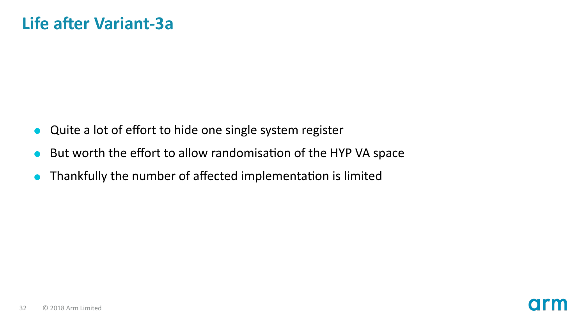- Quite a lot of effort to hide one single system register
- But worth the effort to allow randomisation of the HYP VA space
- Thankfully the number of affected implementation is limited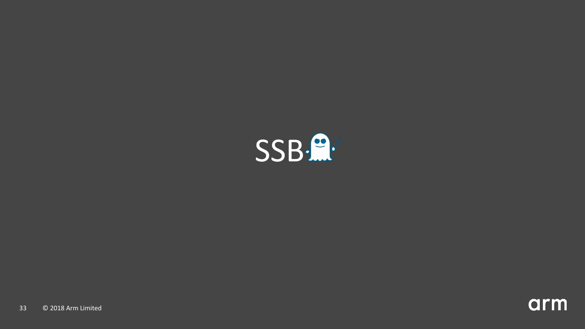

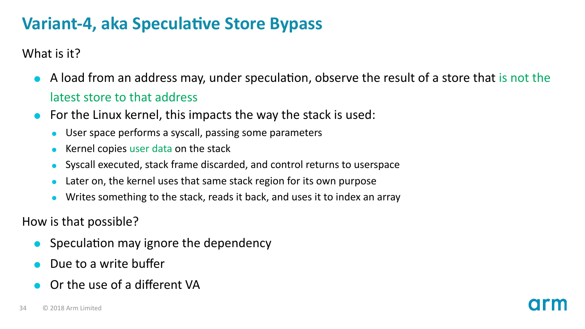#### **Variant-4, aka SpeculaƟve Store Bypass**

What is it?

- A load from an address may, under speculation, observe the result of a store that is not the latest store to that address
- For the Linux kernel, this impacts the way the stack is used:
	- User space performs a syscall, passing some parameters
	- Kernel copies user data on the stack
	- Syscall executed, stack frame discarded, and control returns to userspace  $\bullet$
	- Later on, the kernel uses that same stack region for its own purpose
	- Writes something to the stack, reads it back, and uses it to index an array  $\bullet$

How is that possible?

- Speculation may ignore the dependency
- Due to a write buffer
- Or the use of a different VA

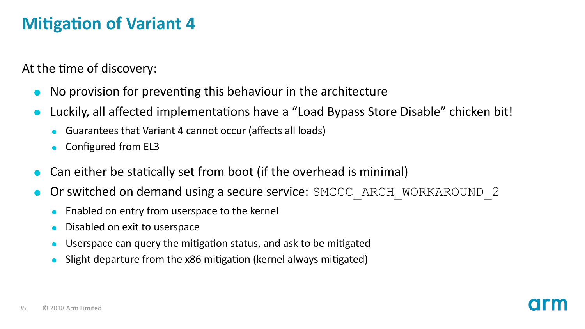#### **Mitigation of Variant 4**

At the time of discovery:

- No provision for preventing this behaviour in the architecture
- Luckily, all affected implementations have a "Load Bypass Store Disable" chicken bit!
	- Guarantees that Variant 4 cannot occur (affects all loads)
	- Configured from EL3
- Can either be statically set from boot (if the overhead is minimal)
- Or switched on demand using a secure service: SMCCC\_ARCH\_WORKAROUND\_2
	- Enabled on entry from userspace to the kernel
	- Disabled on exit to userspace
	- Userspace can query the mitigation status, and ask to be mitigated
	- Slight departure from the x86 mitigation (kernel always mitigated)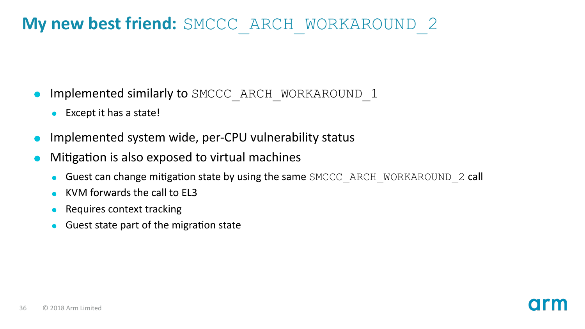#### **My new best friend:** SMCCC\_ARCH\_WORKAROUND\_2

- Implemented similarly to SMCCC\_ARCH\_WORKAROUND\_1
	- Except it has a state!
- Implemented system wide, per-CPU vulnerability status
- Mitigation is also exposed to virtual machines
	- Guest can change mitigation state by using the same SMCCC\_ARCH\_WORKAROUND\_2 call
	- KVM forwards the call to EL3
	- Requires context tracking
	- Guest state part of the migration state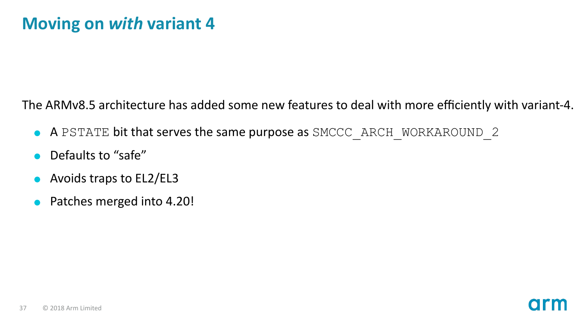The ARMv8.5 architecture has added some new features to deal with more efficiently with variant-4.

- A PSTATE bit that serves the same purpose as SMCCC\_ARCH\_WORKAROUND\_2
- Defaults to "safe"
- Avoids traps to EL2/EL3
- Patches merged into 4.20!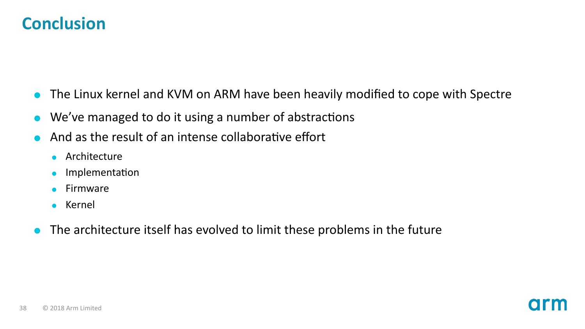#### **Conclusion**

- The Linux kernel and KVM on ARM have been heavily modified to cope with Spectre
- We've managed to do it using a number of abstractions
- And as the result of an intense collaborative effort
	- **Architecture**
	- ImplementaƟon  $\bullet$
	- Firmware
	- Kernel
- The architecture itself has evolved to limit these problems in the future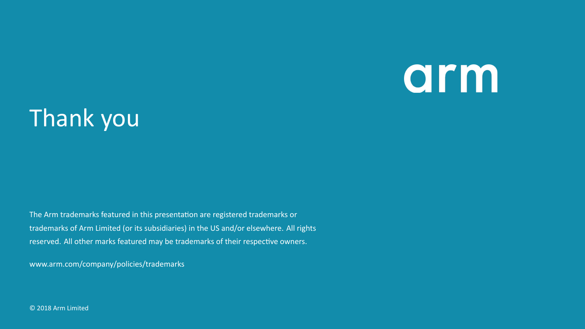## arm

### Thank you

The Arm trademarks featured in this presentation are registered trademarks or trademarks of Arm Limited (or its subsidiaries) in the US and/or elsewhere. All rights reserved. All other marks featured may be trademarks of their respective owners.

www.arm.com/company/policies/trademarks

© 2018 Arm Limited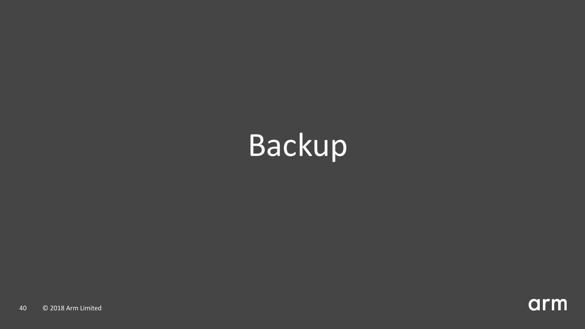## Backup